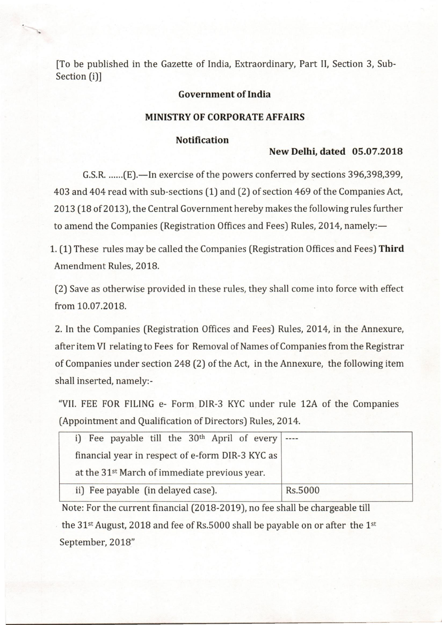[To be published in the Gazette of India, Extraordinary, Part II, Section 3, Sub-Section (i)]

#### **Government of India**

#### **MINISTRY OF CORPORATE AFFAIRS**

### **Notification**

#### **New Delhi, dated 05.07.2018**

G.S.R. ......(E).—In exercise of the powers conferred by sections 396,398,399, 403 and 404 read with sub-sections (1) and (2) of section 469 of the Companies Act, 2013 (18 of 2013), the Central Government hereby makes the following rules further to amend the Companies (Registration Offices and Fees) Rules, 2014, namely:-

1. (1) These rules may be called the Companies (Registration Offices and Fees) **Third**  Amendment Rules, 2018.

(2) Save as otherwise provided in these rules, they shall come into force with effect from 10.07.2018.

2. In the Companies (Registration Offices and Fees) Rules, 2014, in the Annexure, after item VI relating to Fees for Removal of Names of Companies from the Registrar of Companies under section 248 (2) of the Act, in the Annexure, the following item shall inserted, namely:-

"VII. FEE FOR FILING e- Form DIR-3 KYC under rule *12A* of the Companies (Appointment and Qualification of Directors) Rules, 2014.

| i) Fee payable till the $30th$ April of every $ \cdots$   |         |
|-----------------------------------------------------------|---------|
| financial year in respect of e-form DIR-3 KYC as          |         |
| at the 31 <sup>st</sup> March of immediate previous year. |         |
| ii) Fee payable (in delayed case).                        | Rs.5000 |

Note: For the current financial (2018-2019), no fee shall be chargeable till the  $31$ <sup>st</sup> August, 2018 and fee of Rs.5000 shall be payable on or after the 1<sup>st</sup> September, 2018"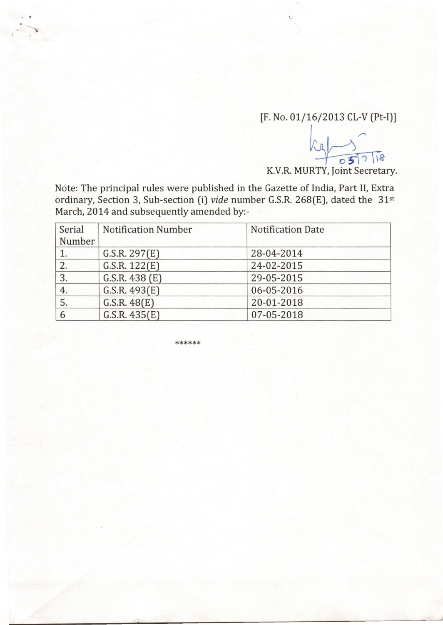## [F. No. 01/16/2013 CL-V (Pt-I)]

 $k$   $\sim$ *~g* 

K.V.R. MURTY, Joint Secretary.

Note: The principal rules were published in the Gazette of India, Part II, Extra ordinary, Section 3, Sub-section (i) *vide* number G.S.R. 268(E), dated the 31st March, 2014 and subsequently amended by:-

| Serial | <b>Notification Number</b> | <b>Notification Date</b> |  |
|--------|----------------------------|--------------------------|--|
| Number |                            |                          |  |
| 1.     | G.S.R. 297(E)              | 28-04-2014               |  |
| 2.     | G.S.R. 122(E)              | 24-02-2015               |  |
| 3.     | G.S.R. 438 (E)             | 29-05-2015               |  |
| 4.     | G.S.R. 493(E)              | 06-05-2016               |  |
| 5.     | G.S.R. 48(E)               | 20-01-2018               |  |
| 6      | G.S.R. 435(E)              | 07-05-2018               |  |

\*\*\*\*\*\*

•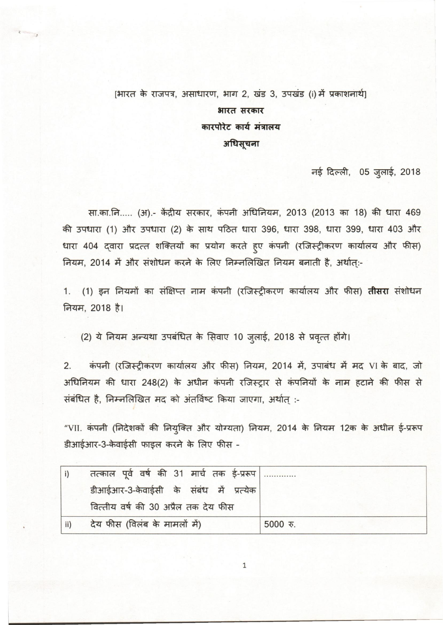# [भारत के राजपत्र, असाधारण, भाग 2, खंड 3, उपखंड (i) में प्रकाशनार्थ] भारत सरकार कारपोरेट कार्य मंत्रालय अधिसूचना

नई दिल्ली, 05 जुलाई, 2018

सा.का.नि..... (अ).- केंद्रीय सरकार, कंपनी अधिनियम, 2013 (2013 का 18) की धारा 469 की उपधारा (1) और उपधारा (2) के साथ पठित धारा 396, धारा 398, धारा 399, धारा 403 और धारा 404 द्वारा प्रदत्त शक्तियों का प्रयोग करते हुए कंपनी (रजिस्ट्रीकरण कार्यालय और फीस)<br>नियम, 2014 में और संशोधन करने के लिए निम्नलिखित नियम बनाती है, अर्थात्:-

1. (1) इन नियमों का संक्षिप्त नाम कंपनी (रजिस्ट्रीकरण कार्यालय और फीस) <mark>तीसरा</mark> संशोधन<br>नियम, 2018 है।

. (2) ये नियम अन्यथा उपबंधित के सिवाए 10 जुलाई, 2018 से प्रवृत्त होंगे।<br>2. कंपनी (रजिस्ट्रीकरण कार्यालय और फीस) नियम, 2014 में, उपाबंध में मद VI के बाद, जो अधिनियम की धारा 248(2) के अधीन कंपनी रजिस्ट्रार से कंपनियों के नाम हटाने की फीस से<br>संबंधित है, निम्नलिखि़त मद को अंतर्विष्ट किया जाएगा, अर्थात् :-

संबंधित है, निम्नलिखित मद को अंतर्विष्ट किया जाएगा, अर्थात् :-<br>"VII. कंपनी (निदेशकों की नियुक्ति और योग्यता) नियम, 2014 के नियम 12क के अधीन ई-प्ररूप डीआईआर-3-केवाईसी फाइल करने के लिए फीस -

|     | तत्काल पूर्व वर्ष की 31 मार्च तक ई-प्ररूप |            |
|-----|-------------------------------------------|------------|
|     | डीआईआर-3-केवाईसी के संबंध में प्रत्येक    |            |
|     | वित्तीय वर्ष की 30 अप्रैल तक देय फीस      |            |
| ii) | देय फीस (विलंब के मामलों में)             | $5000$ रु. |

1